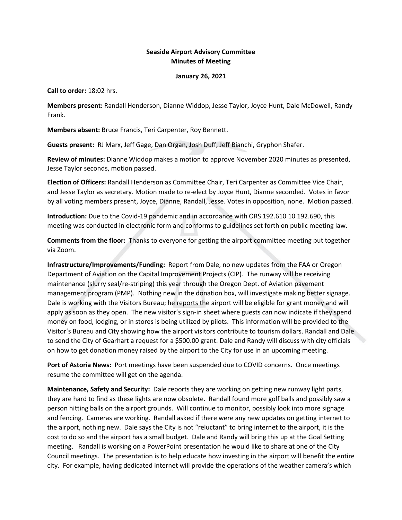## **Seaside Airport Advisory Committee Minutes of Meeting**

## **January 26, 2021**

**Call to order:** 18:02 hrs.

**Members present:** Randall Henderson, Dianne Widdop, Jesse Taylor, Joyce Hunt, Dale McDowell, Randy Frank.

**Members absent:** Bruce Francis, Teri Carpenter, Roy Bennett.

**Guests present:** RJ Marx, Jeff Gage, Dan Organ, Josh Duff, Jeff Bianchi, Gryphon Shafer.

**Review of minutes:** Dianne Widdop makes a motion to approve November 2020 minutes as presented, Jesse Taylor seconds, motion passed.

**Election of Officers:** Randall Henderson as Committee Chair, Teri Carpenter as Committee Vice Chair, and Jesse Taylor as secretary. Motion made to re-elect by Joyce Hunt, Dianne seconded. Votes in favor by all voting members present, Joyce, Dianne, Randall, Jesse. Votes in opposition, none. Motion passed.

**Introduction:** Due to the Covid-19 pandemic and in accordance with ORS 192.610 10 192.690, this meeting was conducted in electronic form and conforms to guidelines set forth on public meeting law.

**Comments from the floor:** Thanks to everyone for getting the airport committee meeting put together via Zoom.

**Infrastructure/Improvements/Funding:** Report from Dale, no new updates from the FAA or Oregon Department of Aviation on the Capital Improvement Projects (CIP). The runway will be receiving maintenance (slurry seal/re-striping) this year through the Oregon Dept. of Aviation pavement management program (PMP). Nothing new in the donation box, will investigate making better signage. Dale is working with the Visitors Bureau; he reports the airport will be eligible for grant money and will apply as soon as they open. The new visitor's sign-in sheet where guests can now indicate if they spend money on food, lodging, or in stores is being utilized by pilots. This information will be provided to the Visitor's Bureau and City showing how the airport visitors contribute to tourism dollars. Randall and Dale to send the City of Gearhart a request for a \$500.00 grant. Dale and Randy will discuss with city officials on how to get donation money raised by the airport to the City for use in an upcoming meeting.

**Port of Astoria News:** Port meetings have been suspended due to COVID concerns. Once meetings resume the committee will get on the agenda.

**Maintenance, Safety and Security:** Dale reports they are working on getting new runway light parts, they are hard to find as these lights are now obsolete. Randall found more golf balls and possibly saw a person hitting balls on the airport grounds. Will continue to monitor, possibly look into more signage and fencing. Cameras are working. Randall asked if there were any new updates on getting internet to the airport, nothing new. Dale says the City is not "reluctant" to bring internet to the airport, it is the cost to do so and the airport has a small budget. Dale and Randy will bring this up at the Goal Setting meeting. Randall is working on a PowerPoint presentation he would like to share at one of the City Council meetings. The presentation is to help educate how investing in the airport will benefit the entire city. For example, having dedicated internet will provide the operations of the weather camera's which